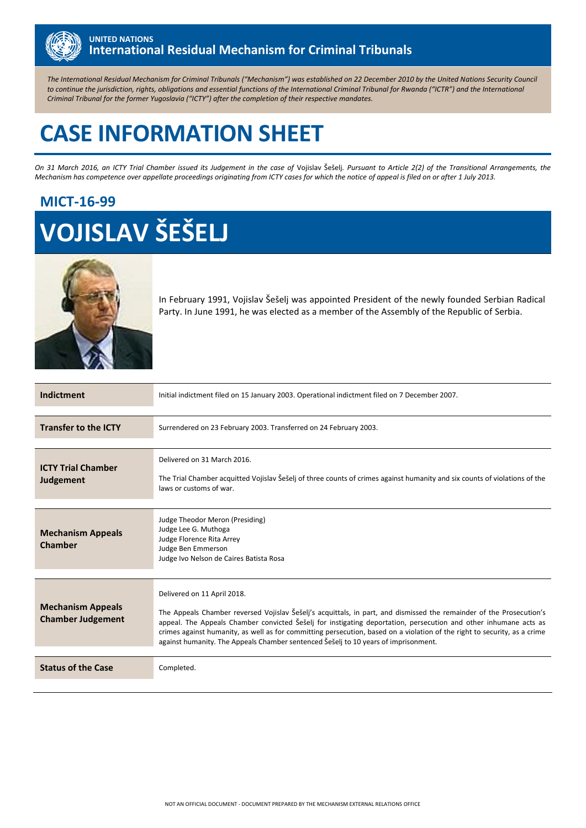

*The International Residual Mechanism for Criminal Tribunals ("Mechanism") was established on 22 December 2010 by the United Nations Security Council to continue the jurisdiction, rights, obligations and essential functions of the International Criminal Tribunal for Rwanda ("ICTR") and the International Criminal Tribunal for the former Yugoslavia ("ICTY") after the completion of their respective mandates.*

# **CASE INFORMATION SHEET**

*On 31 March 2016, an ICTY Trial Chamber issued its Judgement in the case of* Vojislav Šešelj*. Pursuant to Article 2(2) of the Transitional Arrangements, the Mechanism has competence over appellate proceedings originating from ICTY cases for which the notice of appeal is filed on or after 1 July 2013.*

## **MICT-16-99**

# **VOJISLAV ŠEŠELJ**



In February 1991, Vojislav Šešelj was appointed President of the newly founded Serbian Radical Party. In June 1991, he was elected as a member of the Assembly of the Republic of Serbia.

| Indictment                                           | Initial indictment filed on 15 January 2003. Operational indictment filed on 7 December 2007.                                                                                                                                                                                                                                                                                                                                                                                               |  |  |  |
|------------------------------------------------------|---------------------------------------------------------------------------------------------------------------------------------------------------------------------------------------------------------------------------------------------------------------------------------------------------------------------------------------------------------------------------------------------------------------------------------------------------------------------------------------------|--|--|--|
| <b>Transfer to the ICTY</b>                          | Surrendered on 23 February 2003. Transferred on 24 February 2003.                                                                                                                                                                                                                                                                                                                                                                                                                           |  |  |  |
| <b>ICTY Trial Chamber</b><br>Judgement               | Delivered on 31 March 2016.<br>The Trial Chamber acquitted Vojislav Šešelj of three counts of crimes against humanity and six counts of violations of the<br>laws or customs of war.                                                                                                                                                                                                                                                                                                        |  |  |  |
| <b>Mechanism Appeals</b><br><b>Chamber</b>           | Judge Theodor Meron (Presiding)<br>Judge Lee G. Muthoga<br>Judge Florence Rita Arrey<br>Judge Ben Emmerson<br>Judge Ivo Nelson de Caires Batista Rosa                                                                                                                                                                                                                                                                                                                                       |  |  |  |
| <b>Mechanism Appeals</b><br><b>Chamber Judgement</b> | Delivered on 11 April 2018.<br>The Appeals Chamber reversed Vojislav Šešelj's acquittals, in part, and dismissed the remainder of the Prosecution's<br>appeal. The Appeals Chamber convicted Šešelj for instigating deportation, persecution and other inhumane acts as<br>crimes against humanity, as well as for committing persecution, based on a violation of the right to security, as a crime<br>against humanity. The Appeals Chamber sentenced Šešelj to 10 years of imprisonment. |  |  |  |
| <b>Status of the Case</b>                            | Completed.                                                                                                                                                                                                                                                                                                                                                                                                                                                                                  |  |  |  |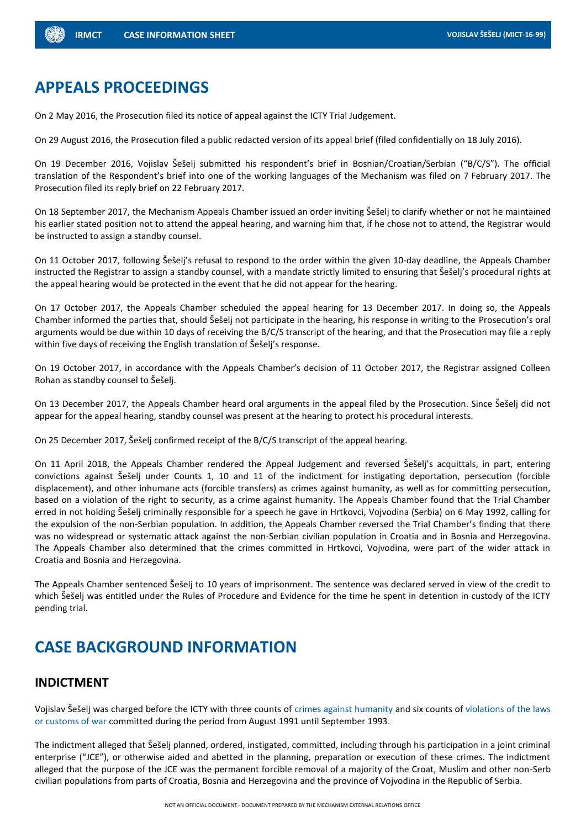### **APPEALS PROCEEDINGS**

On 2 May 2016, the Prosecution filed its notice of appeal against the ICTY Trial Judgement.

On 29 August 2016, the Prosecution filed a public redacted version of its appeal brief (filed confidentially on 18 July 2016).

On 19 December 2016, Vojislav Šešelj submitted his respondent's brief in Bosnian/Croatian/Serbian ("B/C/S"). The official translation of the Respondent's brief into one of the working languages of the Mechanism was filed on 7 February 2017. The Prosecution filed its reply brief on 22 February 2017.

On 18 September 2017, the Mechanism Appeals Chamber issued an order inviting Šešelj to clarify whether or not he maintained his earlier stated position not to attend the appeal hearing, and warning him that, if he chose not to attend, the Registrar would be instructed to assign a standby counsel.

On 11 October 2017, following Šešelj's refusal to respond to the order within the given 10-day deadline, the Appeals Chamber instructed the Registrar to assign a standby counsel, with a mandate strictly limited to ensuring that Šešelj's procedural rights at the appeal hearing would be protected in the event that he did not appear for the hearing.

On 17 October 2017, the Appeals Chamber scheduled the appeal hearing for 13 December 2017. In doing so, the Appeals Chamber informed the parties that, should Šešelj not participate in the hearing, his response in writing to the Prosecution's oral arguments would be due within 10 days of receiving the B/C/S transcript of the hearing, and that the Prosecution may file a reply within five days of receiving the English translation of Šešelj's response.

On 19 October 2017, in accordance with the Appeals Chamber's decision of 11 October 2017, the Registrar assigned Colleen Rohan as standby counsel to Šešelj.

On 13 December 2017, the Appeals Chamber heard oral arguments in the appeal filed by the Prosecution. Since Šešelj did not appear for the appeal hearing, standby counsel was present at the hearing to protect his procedural interests.

On 25 December 2017, Šešelj confirmed receipt of the B/C/S transcript of the appeal hearing.

On 11 April 2018, the Appeals Chamber rendered the Appeal Judgement and reversed Šešelj's acquittals, in part, entering convictions against Šešelj under Counts 1, 10 and 11 of the indictment for instigating deportation, persecution (forcible displacement), and other inhumane acts (forcible transfers) as crimes against humanity, as well as for committing persecution, based on a violation of the right to security, as a crime against humanity. The Appeals Chamber found that the Trial Chamber erred in not holding Šešelj criminally responsible for a speech he gave in Hrtkovci, Vojvodina (Serbia) on 6 May 1992, calling for the expulsion of the non-Serbian population. In addition, the Appeals Chamber reversed the Trial Chamber's finding that there was no widespread or systematic attack against the non-Serbian civilian population in Croatia and in Bosnia and Herzegovina. The Appeals Chamber also determined that the crimes committed in Hrtkovci, Vojvodina, were part of the wider attack in Croatia and Bosnia and Herzegovina.

The Appeals Chamber sentenced Šešelj to 10 years of imprisonment. The sentence was declared served in view of the credit to which Šešelj was entitled under the Rules of Procedure and Evidence for the time he spent in detention in custody of the ICTY pending trial.

# **CASE BACKGROUND INFORMATION**

#### **INDICTMENT**

Vojislav Šešelj was charged before the ICTY with three counts of crimes against humanity and six counts of violations of the laws or customs of war committed during the period from August 1991 until September 1993.

The indictment alleged that Šešelj planned, ordered, instigated, committed, including through his participation in a joint criminal enterprise ("JCE"), or otherwise aided and abetted in the planning, preparation or execution of these crimes. The indictment alleged that the purpose of the JCE was the permanent forcible removal of a majority of the Croat, Muslim and other non-Serb civilian populations from parts of Croatia, Bosnia and Herzegovina and the province of Vojvodina in the Republic of Serbia.